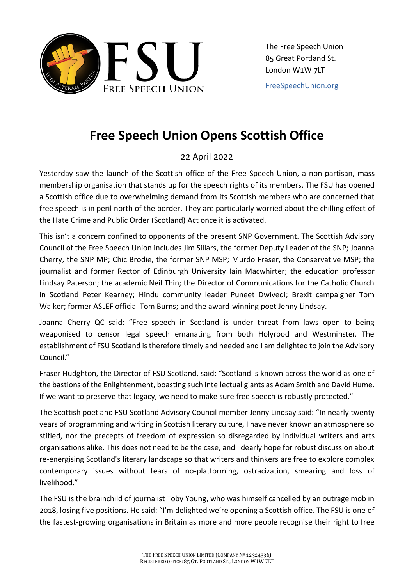

[FreeSpeechUnion.org](https://freespeechunion.org/)

## **Free Speech Union Opens Scottish Office**

## 22 April 2022

Yesterday saw the launch of the Scottish office of the Free Speech Union, a non-partisan, mass membership organisation that stands up for the speech rights of its members. The FSU has opened a Scottish office due to overwhelming demand from its Scottish members who are concerned that free speech is in peril north of the border. They are particularly worried about the chilling effect of the Hate Crime and Public Order (Scotland) Act once it is activated.

This isn't a concern confined to opponents of the present SNP Government. The Scottish Advisory Council of the Free Speech Union includes Jim Sillars, the former Deputy Leader of the SNP; Joanna Cherry, the SNP MP; Chic Brodie, the former SNP MSP; Murdo Fraser, the Conservative MSP; the journalist and former Rector of Edinburgh University Iain Macwhirter; the education professor Lindsay Paterson; the academic Neil Thin; the Director of Communications for the Catholic Church in Scotland Peter Kearney; Hindu community leader Puneet Dwivedi; Brexit campaigner Tom Walker; former ASLEF official Tom Burns; and the award-winning poet Jenny Lindsay.

Joanna Cherry QC said: "Free speech in Scotland is under threat from laws open to being weaponised to censor legal speech emanating from both Holyrood and Westminster. The establishment of FSU Scotland is therefore timely and needed and I am delighted to join the Advisory Council."

Fraser Hudghton, the Director of FSU Scotland, said: "Scotland is known across the world as one of the bastions of the Enlightenment, boasting such intellectual giants as Adam Smith and David Hume. If we want to preserve that legacy, we need to make sure free speech is robustly protected."

The Scottish poet and FSU Scotland Advisory Council member Jenny Lindsay said: "In nearly twenty years of programming and writing in Scottish literary culture, I have never known an atmosphere so stifled, nor the precepts of freedom of expression so disregarded by individual writers and arts organisations alike. This does not need to be the case, and I dearly hope for robust discussion about re-energising Scotland's literary landscape so that writers and thinkers are free to explore complex contemporary issues without fears of no-platforming, ostracization, smearing and loss of livelihood."

The FSU is the brainchild of journalist Toby Young, who was himself cancelled by an outrage mob in 2018, losing five positions. He said: "I'm delighted we're opening a Scottish office. The FSU is one of the fastest-growing organisations in Britain as more and more people recognise their right to free